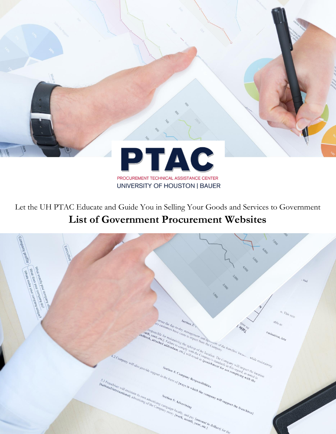

Let the UH PTAC Educate and Guide You in Selling Your Goods and Services to Government **List of Government Procurement Websites**

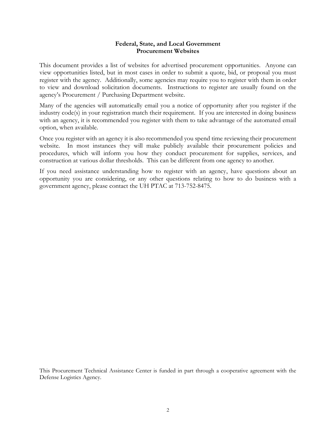#### **Federal, State, and Local Government Procurement Websites**

This document provides a list of websites for advertised procurement opportunities. Anyone can view opportunities listed, but in most cases in order to submit a quote, bid, or proposal you must register with the agency. Additionally, some agencies may require you to register with them in order to view and download solicitation documents. Instructions to register are usually found on the agency's Procurement / Purchasing Department website.

Many of the agencies will automatically email you a notice of opportunity after you register if the industry code(s) in your registration match their requirement. If you are interested in doing business with an agency, it is recommended you register with them to take advantage of the automated email option, when available.

Once you register with an agency it is also recommended you spend time reviewing their procurement website. In most instances they will make publicly available their procurement policies and procedures, which will inform you how they conduct procurement for supplies, services, and construction at various dollar thresholds. This can be different from one agency to another.

If you need assistance understanding how to register with an agency, have questions about an opportunity you are considering, or any other questions relating to how to do business with a government agency, please contact the UH PTAC at 713-752-8475.

This Procurement Technical Assistance Center is funded in part through a cooperative agreement with the Defense Logistics Agency.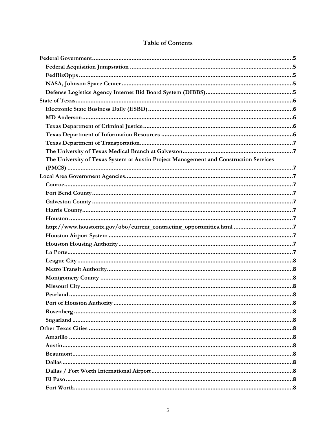| The University of Texas System at Austin Project Management and Construction Services |
|---------------------------------------------------------------------------------------|
|                                                                                       |
|                                                                                       |
|                                                                                       |
|                                                                                       |
|                                                                                       |
|                                                                                       |
|                                                                                       |
| http://www.houstontx.gov/obo/current_contracting_opportunities.html 7                 |
|                                                                                       |
|                                                                                       |
|                                                                                       |
|                                                                                       |
|                                                                                       |
|                                                                                       |
|                                                                                       |
|                                                                                       |
|                                                                                       |
|                                                                                       |
|                                                                                       |
|                                                                                       |
|                                                                                       |
|                                                                                       |
|                                                                                       |
|                                                                                       |
|                                                                                       |
|                                                                                       |
|                                                                                       |

## **Table of Contents**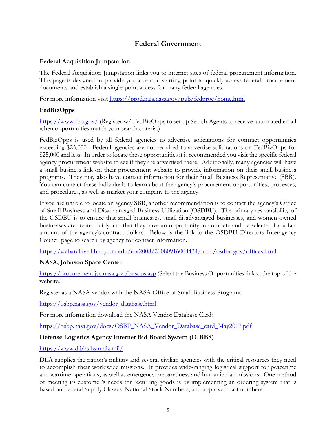# **Federal Government**

### <span id="page-4-1"></span><span id="page-4-0"></span>**Federal Acquisition Jumpstation**

The Federal Acquisition Jumpstation links you to internet sites of federal procurement information. This page is designed to provide you a central starting point to quickly access federal procurement documents and establish a single-point access for many federal agencies.

For more information visit<https://prod.nais.nasa.gov/pub/fedproc/home.html>

## <span id="page-4-2"></span>**FedBizOpps**

<https://www.fbo.gov/> (Register w/ FedBizOpps to set up Search Agents to receive automated email when opportunities match your search criteria.)

FedBizOpps is used by all federal agencies to advertise solicitations for contract opportunities exceeding \$25,000. Federal agencies are not required to advertise solicitations on FedBizOpps for \$25,000 and less. In order to locate these opportunities it is recommended you visit the specific federal agency procurement website to see if they are advertised there. Additionally, many agencies will have a small business link on their procurement website to provide information on their small business programs. They may also have contact information for their Small Business Representative (SBR). You can contact these individuals to learn about the agency's procurement opportunities, processes, and procedures, as well as market your company to the agency.

If you are unable to locate an agency SBR, another recommendation is to contact the agency's Office of Small Business and Disadvantaged Business Utilization (OSDBU). The primary responsibility of the OSDBU is to ensure that small businesses, small disadvantaged businesses, and women-owned businesses are treated fairly and that they have an opportunity to compete and be selected for a fair amount of the agency's contract dollars. Below is the link to the OSDBU Directors Interagency Council page to search by agency for contact information.

<https://webarchive.library.unt.edu/eot2008/20080916004434/http:/osdbu.gov/offices.html>

## <span id="page-4-3"></span>**NASA, Johnson Space Center**

<https://procurement.jsc.nasa.gov/busops.asp> (Select the Business Opportunities link at the top of the website.)

Register as a NASA vendor with the NASA Office of Small Business Programs:

[https://osbp.nasa.gov/vendor\\_database.html](https://osbp.nasa.gov/vendor_database.html)

For more information download the NASA Vendor Database Card:

[https://osbp.nasa.gov/docs/OSBP\\_NASA\\_Vendor\\_Database\\_card\\_May2017.pdf](https://osbp.nasa.gov/docs/OSBP_NASA_Vendor_Database_card_May2017.pdf)

## <span id="page-4-4"></span>**Defense Logistics Agency Internet Bid Board System (DIBBS)**

<https://www.dibbs.bsm.dla.mil/>

DLA supplies the nation's military and several civilian agencies with the critical resources they need to accomplish their worldwide missions. It provides wide-ranging logistical support for peacetime and wartime operations, as well as emergency preparedness and humanitarian missions. One method of meeting its customer's needs for recurring goods is by implementing an ordering system that is based on Federal Supply Classes, National Stock Numbers, and approved part numbers.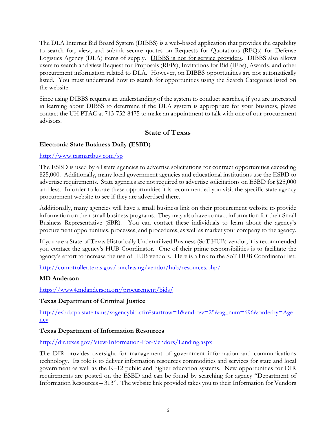The DLA Internet Bid Board System (DIBBS) is a web-based application that provides the capability to search for, view, and submit secure quotes on Requests for Quotations (RFQs) for Defense Logistics Agency (DLA) items of supply. DIBBS is not for service providers. DIBBS also allows users to search and view Request for Proposals (RFPs), Invitations for Bid (IFBs), Awards, and other procurement information related to DLA. However, on DIBBS opportunities are not automatically listed. You must understand how to search for opportunities using the Search Categories listed on the website.

Since using DIBBS requires an understanding of the system to conduct searches, if you are interested in learning about DIBSS to determine if the DLA system is appropriate for your business, please contact the UH PTAC at 713-752-8475 to make an appointment to talk with one of our procurement advisors.

# **State of Texas**

## <span id="page-5-1"></span><span id="page-5-0"></span>**Electronic State Business Daily (ESBD)**

### <http://www.txsmartbuy.com/sp>

The ESBD is used by all state agencies to advertise solicitations for contract opportunities exceeding \$25,000. Additionally, many local government agencies and educational institutions use the ESBD to advertise requirements. State agencies are not required to advertise solicitations on ESBD for \$25,000 and less. In order to locate these opportunities it is recommended you visit the specific state agency procurement website to see if they are advertised there.

Additionally, many agencies will have a small business link on their procurement website to provide information on their small business programs. They may also have contact information for their Small Business Representative (SBR). You can contact these individuals to learn about the agency's procurement opportunities, processes, and procedures, as well as market your company to the agency.

If you are a State of Texas Historically Underutilized Business (SoT HUB) vendor, it is recommended you contact the agency's HUB Coordinator. One of their prime responsibilities is to facilitate the agency's effort to increase the use of HUB vendors. Here is a link to the SoT HUB Coordinator list:

<http://comptroller.texas.gov/purchasing/vendor/hub/resources.php/>

## <span id="page-5-2"></span>**MD Anderson**

<https://www4.mdanderson.org/procurement/bids/>

## <span id="page-5-3"></span>**Texas Department of Criminal Justice**

[http://esbd.cpa.state.tx.us/sagencybid.cfm?startrow=1&endrow=25&ag\\_num=696&orderby=Age](http://esbd.cpa.state.tx.us/sagencybid.cfm?startrow=1&endrow=25&ag_num=696&orderby=Agency) [ncy](http://esbd.cpa.state.tx.us/sagencybid.cfm?startrow=1&endrow=25&ag_num=696&orderby=Agency)

## <span id="page-5-4"></span>**Texas Department of Information Resources**

<http://dir.texas.gov/View-Information-For-Vendors/Landing.aspx>

The DIR provides oversight for management of government information and communications technology. Its role is to deliver information resources commodities and services for state and local government as well as the K–12 public and higher education systems. New opportunities for DIR requirements are posted on the ESBD and can be found by searching for agency "Department of Information Resources – 313". The website link provided takes you to their Information for Vendors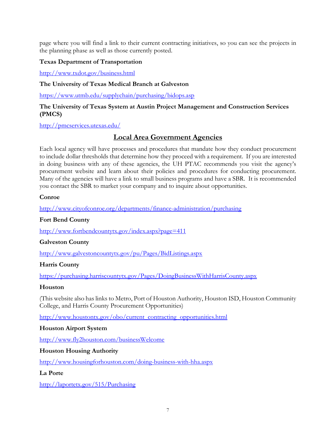page where you will find a link to their current contracting initiatives, so you can see the projects in the planning phase as well as those currently posted.

### <span id="page-6-0"></span>**Texas Department of Transportation**

<http://www.txdot.gov/business.html>

## <span id="page-6-1"></span>**The University of Texas Medical Branch at Galveston**

<https://www.utmb.edu/supplychain/purchasing/bidops.asp>

#### <span id="page-6-2"></span>**The University of Texas System at Austin Project Management and Construction Services (PMCS)**

<span id="page-6-3"></span><http://pmcservices.utexas.edu/>

# **Local Area Government Agencies**

Each local agency will have processes and procedures that mandate how they conduct procurement to include dollar thresholds that determine how they proceed with a requirement. If you are interested in doing business with any of these agencies, the UH PTAC recommends you visit the agency's procurement website and learn about their policies and procedures for conducting procurement. Many of the agencies will have a link to small business programs and have a SBR. It is recommended you contact the SBR to market your company and to inquire about opportunities.

<span id="page-6-4"></span>**Conroe**

<http://www.cityofconroe.org/departments/finance-administration/purchasing>

## <span id="page-6-5"></span>**Fort Bend County**

<http://www.fortbendcountytx.gov/index.aspx?page=411>

## <span id="page-6-6"></span>**Galveston County**

<http://www.galvestoncountytx.gov/pu/Pages/BidListings.aspx>

## <span id="page-6-7"></span>**Harris County**

<https://purchasing.harriscountytx.gov/Pages/DoingBusinessWithHarrisCounty.aspx>

#### <span id="page-6-8"></span>**Houston**

(This website also has links to Metro, Port of Houston Authority, Houston ISD, Houston Community College, and Harris County Procurement Opportunities)

<span id="page-6-9"></span>[http://www.houstontx.gov/obo/current\\_contracting\\_opportunities.html](http://www.houstontx.gov/obo/current_contracting_opportunities.html)

#### <span id="page-6-10"></span>**Houston Airport System**

<http://www.fly2houston.com/businessWelcome>

## <span id="page-6-11"></span>**Houston Housing Authority**

<http://www.housingforhouston.com/doing-business-with-hha.aspx>

## <span id="page-6-12"></span>**La Porte**

<http://laportetx.gov/515/Purchasing>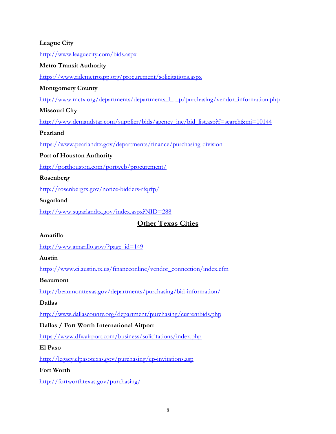## <span id="page-7-0"></span>**League City**

<http://www.leaguecity.com/bids.aspx>

#### <span id="page-7-1"></span>**Metro Transit Authority**

<https://www.ridemetroapp.org/procurement/solicitations.aspx>

### <span id="page-7-2"></span>**Montgomery County**

http://www.mctx.org/departments/departments  $l - p/purchasing/vendor-information.php$ 

### <span id="page-7-3"></span>**Missouri City**

[http://www.demandstar.com/supplier/bids/agency\\_inc/bid\\_list.asp?f=search&mi=10144](http://www.demandstar.com/supplier/bids/agency_inc/bid_list.asp?f=search&mi=10144)

### <span id="page-7-4"></span>**Pearland**

<https://www.pearlandtx.gov/departments/finance/purchasing-division>

### <span id="page-7-5"></span>**Port of Houston Authority**

<http://porthouston.com/portweb/procurement/>

### <span id="page-7-6"></span>**Rosenberg**

<http://rosenbergtx.gov/notice-bidders-rfqrfp/>

### <span id="page-7-7"></span>**Sugarland**

<span id="page-7-8"></span><http://www.sugarlandtx.gov/index.aspx?NID=288>

# **Other Texas Cities**

#### <span id="page-7-9"></span>**Amarillo**

[http://www.amarillo.gov/?page\\_id=149](http://www.amarillo.gov/?page_id=149)

#### <span id="page-7-10"></span>**Austin**

[https://www.ci.austin.tx.us/financeonline/vendor\\_connection/index.cfm](https://www.ci.austin.tx.us/financeonline/vendor_connection/index.cfm)

#### <span id="page-7-11"></span>**Beaumont**

<http://beaumonttexas.gov/departments/purchasing/bid-information/>

## <span id="page-7-12"></span>**Dallas**

<http://www.dallascounty.org/department/purchasing/currentbids.php>

## <span id="page-7-13"></span>**Dallas / Fort Worth International Airport**

<https://www.dfwairport.com/business/solicitations/index.php>

#### <span id="page-7-14"></span>**El Paso**

<http://legacy.elpasotexas.gov/purchasing/ep-invitations.asp>

#### <span id="page-7-15"></span>**Fort Worth**

<http://fortworthtexas.gov/purchasing/>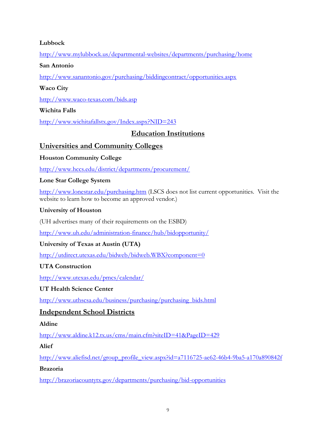## <span id="page-8-0"></span>**Lubbock**

<http://www.mylubbock.us/departmental-websites/departments/purchasing/home>

#### <span id="page-8-1"></span>**San Antonio**

<http://www.sanantonio.gov/purchasing/biddingcontract/opportunities.aspx>

## <span id="page-8-2"></span>**Waco City**

<http://www.waco-texas.com/bids.asp>

## <span id="page-8-3"></span>**Wichita Falls**

<span id="page-8-4"></span><http://www.wichitafallstx.gov/Index.aspx?NID=243>

# **Education Institutions**

# <span id="page-8-5"></span>**Universities and Community Colleges**

# <span id="page-8-6"></span>**Houston Community College**

<http://www.hccs.edu/district/departments/procurement/>

## <span id="page-8-7"></span>**Lone Star College System**

<http://www.lonestar.edu/purchasing.htm> (LSCS does not list current opportunities. Visit the website to learn how to become an approved vendor.)

## <span id="page-8-8"></span>**University of Houston**

(UH advertises many of their requirements on the ESBD)

<http://www.uh.edu/administration-finance/hub/bidopportunity/>

# <span id="page-8-9"></span>**University of Texas at Austin (UTA)**

<http://utdirect.utexas.edu/bidweb/bidweb.WBX?component=0>

## <span id="page-8-10"></span>**UTA Construction**

<http://www.utexas.edu/pmcs/calendar/>

## <span id="page-8-11"></span>**UT Health Science Center**

[http://www.uthscsa.edu/business/purchasing/purchasing\\_bids.html](http://www.uthscsa.edu/business/purchasing/purchasing_bids.html)

# <span id="page-8-12"></span>**Independent School Districts**

## <span id="page-8-13"></span>**Aldine**

<http://www.aldine.k12.tx.us/cms/main.cfm?siteID=41&PageID=429>

## <span id="page-8-14"></span>**Alief**

[http://www.aliefisd.net/group\\_profile\\_view.aspx?id=a7116725-ae62-46b4-9ba5-a170a890842f](http://www.aliefisd.net/group_profile_view.aspx?id=a7116725-ae62-46b4-9ba5-a170a890842f)

## <span id="page-8-15"></span>**Brazoria**

<http://brazoriacountytx.gov/departments/purchasing/bid-opportunities>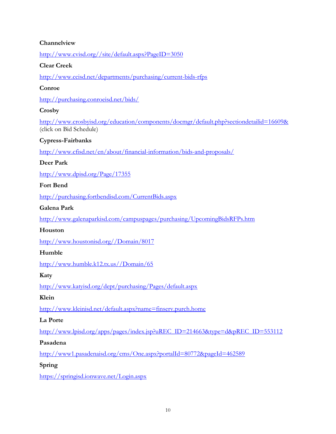## <span id="page-9-0"></span>**Channelview**

[http://www.cvisd.org//site/default.aspx?PageID=3050](http://www.cvisd.org/site/default.aspx?PageID=3050)

#### <span id="page-9-1"></span>**Clear Creek**

<http://www.ccisd.net/departments/purchasing/current-bids-rfps>

## <span id="page-9-2"></span>**Conroe**

<http://purchasing.conroeisd.net/bids/>

## <span id="page-9-3"></span>**Crosby**

<http://www.crosbyisd.org/education/components/docmgr/default.php?sectiondetailid=16609&> (click on Bid Schedule)

### <span id="page-9-4"></span>**Cypress-Fairbanks**

<http://www.cfisd.net/en/about/financial-information/bids-and-proposals/>

#### <span id="page-9-5"></span>**Deer Park**

<http://www.dpisd.org/Page/17355>

### <span id="page-9-6"></span>**Fort Bend**

<http://purchasing.fortbendisd.com/CurrentBids.aspx>

#### <span id="page-9-7"></span>**Galena Park**

<http://www.galenaparkisd.com/campuspages/purchasing/UpcomingBidsRFPs.htm>

#### <span id="page-9-8"></span>**Houston**

[http://www.houstonisd.org//Domain/8017](http://www.houstonisd.org/Domain/8017)

#### <span id="page-9-9"></span>**Humble**

[http://www.humble.k12.tx.us//Domain/65](http://www.humble.k12.tx.us/Domain/65)

#### <span id="page-9-10"></span>**Katy**

<http://www.katyisd.org/dept/purchasing/Pages/default.aspx>

#### <span id="page-9-11"></span>**Klein**

<http://www.kleinisd.net/default.aspx?name=finserv.purch.home>

#### <span id="page-9-12"></span>**La Porte**

[http://www.lpisd.org/apps/pages/index.jsp?uREC\\_ID=214663&type=d&pREC\\_ID=553112](http://www.lpisd.org/apps/pages/index.jsp?uREC_ID=214663&type=d&pREC_ID=553112)

#### <span id="page-9-13"></span>**Pasadena**

<http://www1.pasadenaisd.org/cms/One.aspx?portalId=80772&pageId=462589>

## <span id="page-9-14"></span>**Spring**

<https://springisd.ionwave.net/Login.aspx>